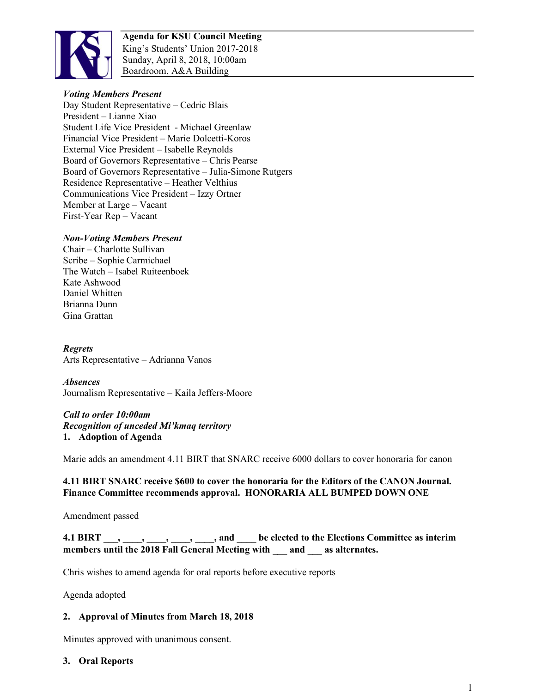

**Agenda for KSU Council Meeting** King's Students' Union 2017-2018 Sunday, April 8, 2018, 10:00am Boardroom, A&A Building

## *Voting Members Present*

Day Student Representative – Cedric Blais President – Lianne Xiao Student Life Vice President - Michael Greenlaw Financial Vice President – Marie Dolcetti-Koros External Vice President – Isabelle Reynolds Board of Governors Representative – Chris Pearse Board of Governors Representative – Julia-Simone Rutgers Residence Representative – Heather Velthius Communications Vice President – Izzy Ortner Member at Large – Vacant First-Year Rep – Vacant

## *Non-Voting Members Present*

Chair – Charlotte Sullivan Scribe – Sophie Carmichael The Watch – Isabel Ruiteenboek Kate Ashwood Daniel Whitten Brianna Dunn Gina Grattan

*Regrets* Arts Representative – Adrianna Vanos

*Absences* Journalism Representative – Kaila Jeffers-Moore

#### *Call to order 10:00am Recognition of unceded Mi'kmaq territory* **1. Adoption of Agenda**

Marie adds an amendment 4.11 BIRT that SNARC receive 6000 dollars to cover honoraria for canon

## **4.11 BIRT SNARC receive \$600 to cover the honoraria for the Editors of the CANON Journal. Finance Committee recommends approval. HONORARIA ALL BUMPED DOWN ONE**

Amendment passed

## **4.1 BIRT \_\_\_, \_\_\_\_, \_\_\_\_, \_\_\_\_, \_\_\_\_, and \_\_\_\_ be elected to the Elections Committee as interim members until the 2018 Fall General Meeting with \_\_\_ and \_\_\_ as alternates.**

Chris wishes to amend agenda for oral reports before executive reports

Agenda adopted

#### **2. Approval of Minutes from March 18, 2018**

Minutes approved with unanimous consent.

#### **3. Oral Reports**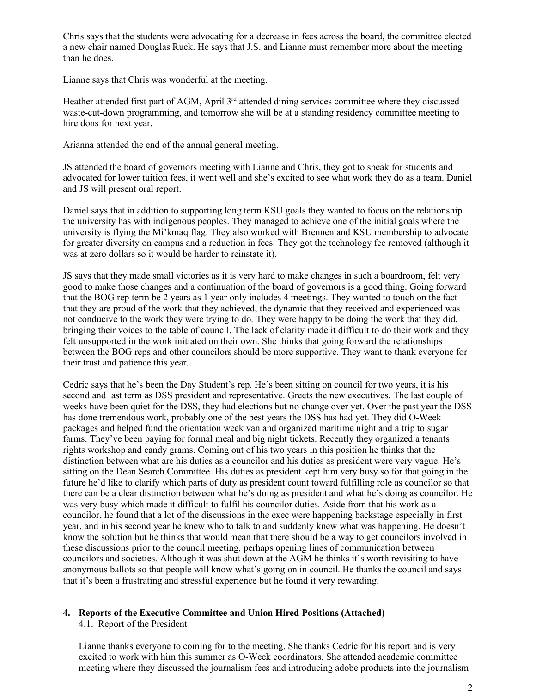Chris says that the students were advocating for a decrease in fees across the board, the committee elected a new chair named Douglas Ruck. He says that J.S. and Lianne must remember more about the meeting than he does.

Lianne says that Chris was wonderful at the meeting.

Heather attended first part of AGM, April 3<sup>rd</sup> attended dining services committee where they discussed waste-cut-down programming, and tomorrow she will be at a standing residency committee meeting to hire dons for next year.

Arianna attended the end of the annual general meeting.

JS attended the board of governors meeting with Lianne and Chris, they got to speak for students and advocated for lower tuition fees, it went well and she's excited to see what work they do as a team. Daniel and JS will present oral report.

Daniel says that in addition to supporting long term KSU goals they wanted to focus on the relationship the university has with indigenous peoples. They managed to achieve one of the initial goals where the university is flying the Mi'kmaq flag. They also worked with Brennen and KSU membership to advocate for greater diversity on campus and a reduction in fees. They got the technology fee removed (although it was at zero dollars so it would be harder to reinstate it).

JS says that they made small victories as it is very hard to make changes in such a boardroom, felt very good to make those changes and a continuation of the board of governors is a good thing. Going forward that the BOG rep term be 2 years as 1 year only includes 4 meetings. They wanted to touch on the fact that they are proud of the work that they achieved, the dynamic that they received and experienced was not conducive to the work they were trying to do. They were happy to be doing the work that they did, bringing their voices to the table of council. The lack of clarity made it difficult to do their work and they felt unsupported in the work initiated on their own. She thinks that going forward the relationships between the BOG reps and other councilors should be more supportive. They want to thank everyone for their trust and patience this year.

Cedric says that he's been the Day Student's rep. He's been sitting on council for two years, it is his second and last term as DSS president and representative. Greets the new executives. The last couple of weeks have been quiet for the DSS, they had elections but no change over yet. Over the past year the DSS has done tremendous work, probably one of the best years the DSS has had yet. They did O-Week packages and helped fund the orientation week van and organized maritime night and a trip to sugar farms. They've been paying for formal meal and big night tickets. Recently they organized a tenants rights workshop and candy grams. Coming out of his two years in this position he thinks that the distinction between what are his duties as a councilor and his duties as president were very vague. He's sitting on the Dean Search Committee. His duties as president kept him very busy so for that going in the future he'd like to clarify which parts of duty as president count toward fulfilling role as councilor so that there can be a clear distinction between what he's doing as president and what he's doing as councilor. He was very busy which made it difficult to fulfil his councilor duties. Aside from that his work as a councilor, he found that a lot of the discussions in the exec were happening backstage especially in first year, and in his second year he knew who to talk to and suddenly knew what was happening. He doesn't know the solution but he thinks that would mean that there should be a way to get councilors involved in these discussions prior to the council meeting, perhaps opening lines of communication between councilors and societies. Although it was shut down at the AGM he thinks it's worth revisiting to have anonymous ballots so that people will know what's going on in council. He thanks the council and says that it's been a frustrating and stressful experience but he found it very rewarding.

# **4. Reports of the Executive Committee and Union Hired Positions (Attached)**

4.1. Report of the President

Lianne thanks everyone to coming for to the meeting. She thanks Cedric for his report and is very excited to work with him this summer as O-Week coordinators. She attended academic committee meeting where they discussed the journalism fees and introducing adobe products into the journalism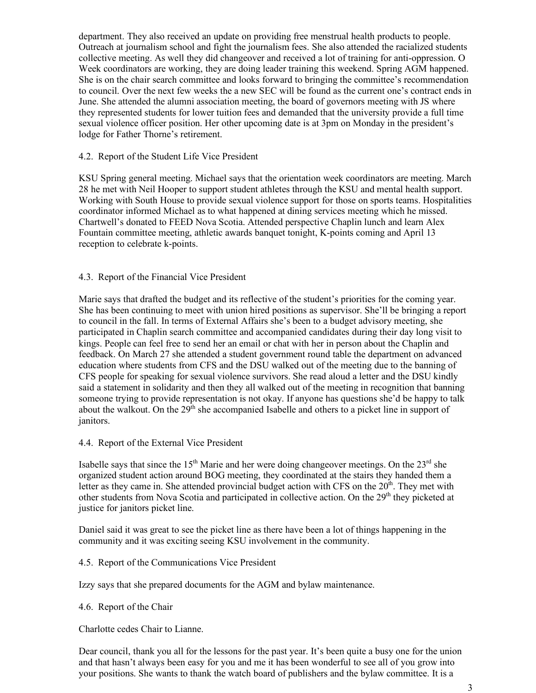department. They also received an update on providing free menstrual health products to people. Outreach at journalism school and fight the journalism fees. She also attended the racialized students collective meeting. As well they did changeover and received a lot of training for anti-oppression. O Week coordinators are working, they are doing leader training this weekend. Spring AGM happened. She is on the chair search committee and looks forward to bringing the committee's recommendation to council. Over the next few weeks the a new SEC will be found as the current one's contract ends in June. She attended the alumni association meeting, the board of governors meeting with JS where they represented students for lower tuition fees and demanded that the university provide a full time sexual violence officer position. Her other upcoming date is at 3pm on Monday in the president's lodge for Father Thorne's retirement.

#### 4.2. Report of the Student Life Vice President

KSU Spring general meeting. Michael says that the orientation week coordinators are meeting. March 28 he met with Neil Hooper to support student athletes through the KSU and mental health support. Working with South House to provide sexual violence support for those on sports teams. Hospitalities coordinator informed Michael as to what happened at dining services meeting which he missed. Chartwell's donated to FEED Nova Scotia. Attended perspective Chaplin lunch and learn Alex Fountain committee meeting, athletic awards banquet tonight, K-points coming and April 13 reception to celebrate k-points.

## 4.3. Report of the Financial Vice President

Marie says that drafted the budget and its reflective of the student's priorities for the coming year. She has been continuing to meet with union hired positions as supervisor. She'll be bringing a report to council in the fall. In terms of External Affairs she's been to a budget advisory meeting, she participated in Chaplin search committee and accompanied candidates during their day long visit to kings. People can feel free to send her an email or chat with her in person about the Chaplin and feedback. On March 27 she attended a student government round table the department on advanced education where students from CFS and the DSU walked out of the meeting due to the banning of CFS people for speaking for sexual violence survivors. She read aloud a letter and the DSU kindly said a statement in solidarity and then they all walked out of the meeting in recognition that banning someone trying to provide representation is not okay. If anyone has questions she'd be happy to talk about the walkout. On the  $29<sup>th</sup>$  she accompanied Isabelle and others to a picket line in support of janitors.

4.4. Report of the External Vice President

Isabelle says that since the  $15<sup>th</sup>$  Marie and her were doing changeover meetings. On the  $23<sup>rd</sup>$  she organized student action around BOG meeting, they coordinated at the stairs they handed them a letter as they came in. She attended provincial budget action with CFS on the  $20<sup>th</sup>$ . They met with other students from Nova Scotia and participated in collective action. On the 29<sup>th</sup> they picketed at justice for janitors picket line.

Daniel said it was great to see the picket line as there have been a lot of things happening in the community and it was exciting seeing KSU involvement in the community.

4.5. Report of the Communications Vice President

Izzy says that she prepared documents for the AGM and bylaw maintenance.

4.6. Report of the Chair

Charlotte cedes Chair to Lianne.

Dear council, thank you all for the lessons for the past year. It's been quite a busy one for the union and that hasn't always been easy for you and me it has been wonderful to see all of you grow into your positions. She wants to thank the watch board of publishers and the bylaw committee. It is a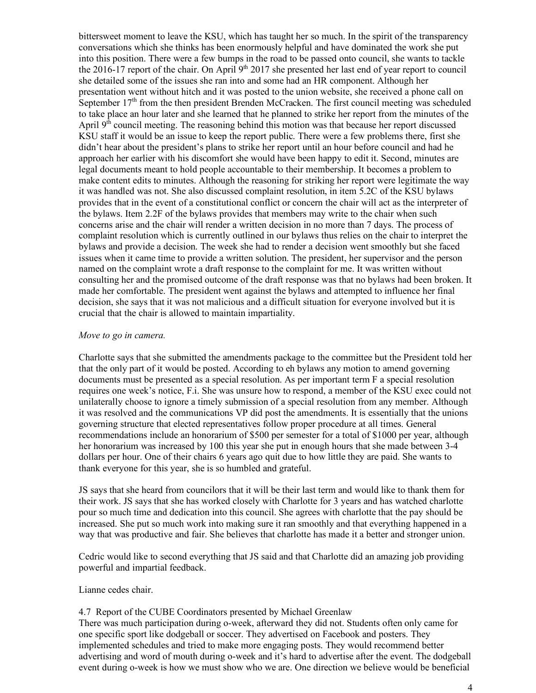bittersweet moment to leave the KSU, which has taught her so much. In the spirit of the transparency conversations which she thinks has been enormously helpful and have dominated the work she put into this position. There were a few bumps in the road to be passed onto council, she wants to tackle the 2016-17 report of the chair. On April  $9<sup>th</sup>$  2017 she presented her last end of year report to council she detailed some of the issues she ran into and some had an HR component. Although her presentation went without hitch and it was posted to the union website, she received a phone call on September  $17<sup>th</sup>$  from the then president Brenden McCracken. The first council meeting was scheduled to take place an hour later and she learned that he planned to strike her report from the minutes of the April  $9<sup>th</sup>$  council meeting. The reasoning behind this motion was that because her report discussed KSU staff it would be an issue to keep the report public. There were a few problems there, first she didn't hear about the president's plans to strike her report until an hour before council and had he approach her earlier with his discomfort she would have been happy to edit it. Second, minutes are legal documents meant to hold people accountable to their membership. It becomes a problem to make content edits to minutes. Although the reasoning for striking her report were legitimate the way it was handled was not. She also discussed complaint resolution, in item 5.2C of the KSU bylaws provides that in the event of a constitutional conflict or concern the chair will act as the interpreter of the bylaws. Item 2.2F of the bylaws provides that members may write to the chair when such concerns arise and the chair will render a written decision in no more than 7 days. The process of complaint resolution which is currently outlined in our bylaws thus relies on the chair to interpret the bylaws and provide a decision. The week she had to render a decision went smoothly but she faced issues when it came time to provide a written solution. The president, her supervisor and the person named on the complaint wrote a draft response to the complaint for me. It was written without consulting her and the promised outcome of the draft response was that no bylaws had been broken. It made her comfortable. The president went against the bylaws and attempted to influence her final decision, she says that it was not malicious and a difficult situation for everyone involved but it is crucial that the chair is allowed to maintain impartiality.

#### *Move to go in camera.*

Charlotte says that she submitted the amendments package to the committee but the President told her that the only part of it would be posted. According to eh bylaws any motion to amend governing documents must be presented as a special resolution. As per important term F a special resolution requires one week's notice, F.i. She was unsure how to respond, a member of the KSU exec could not unilaterally choose to ignore a timely submission of a special resolution from any member. Although it was resolved and the communications VP did post the amendments. It is essentially that the unions governing structure that elected representatives follow proper procedure at all times. General recommendations include an honorarium of \$500 per semester for a total of \$1000 per year, although her honorarium was increased by 100 this year she put in enough hours that she made between 3-4 dollars per hour. One of their chairs 6 years ago quit due to how little they are paid. She wants to thank everyone for this year, she is so humbled and grateful.

JS says that she heard from councilors that it will be their last term and would like to thank them for their work. JS says that she has worked closely with Charlotte for 3 years and has watched charlotte pour so much time and dedication into this council. She agrees with charlotte that the pay should be increased. She put so much work into making sure it ran smoothly and that everything happened in a way that was productive and fair. She believes that charlotte has made it a better and stronger union.

Cedric would like to second everything that JS said and that Charlotte did an amazing job providing powerful and impartial feedback.

Lianne cedes chair.

#### 4.7 Report of the CUBE Coordinators presented by Michael Greenlaw

There was much participation during o-week, afterward they did not. Students often only came for one specific sport like dodgeball or soccer. They advertised on Facebook and posters. They implemented schedules and tried to make more engaging posts. They would recommend better advertising and word of mouth during o-week and it's hard to advertise after the event. The dodgeball event during o-week is how we must show who we are. One direction we believe would be beneficial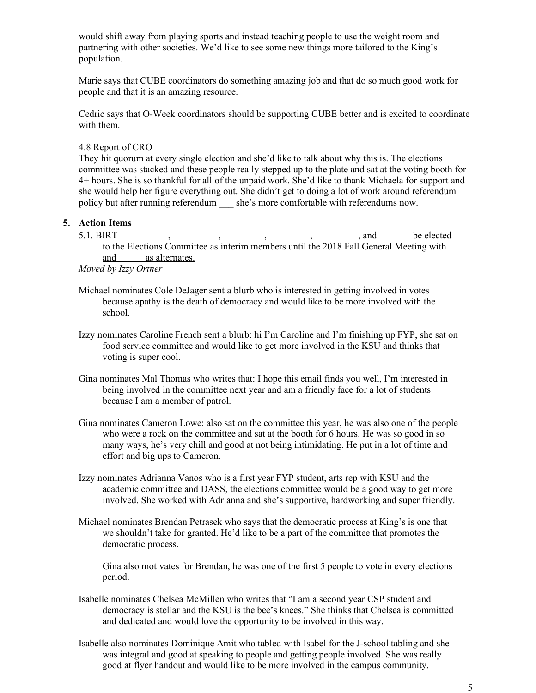would shift away from playing sports and instead teaching people to use the weight room and partnering with other societies. We'd like to see some new things more tailored to the King's population.

Marie says that CUBE coordinators do something amazing job and that do so much good work for people and that it is an amazing resource.

Cedric says that O-Week coordinators should be supporting CUBE better and is excited to coordinate with them.

4.8 Report of CRO

They hit quorum at every single election and she'd like to talk about why this is. The elections committee was stacked and these people really stepped up to the plate and sat at the voting booth for 4+ hours. She is so thankful for all of the unpaid work. She'd like to thank Michaela for support and she would help her figure everything out. She didn't get to doing a lot of work around referendum policy but after running referendum she's more comfortable with referendums now.

#### **5. Action Items**

school.

5.1. BIRT , , , , , and be elected to the Elections Committee as interim members until the 2018 Fall General Meeting with and as alternates. *Moved by Izzy Ortner*

Michael nominates Cole DeJager sent a blurb who is interested in getting involved in votes because apathy is the death of democracy and would like to be more involved with the

- Izzy nominates Caroline French sent a blurb: hi I'm Caroline and I'm finishing up FYP, she sat on food service committee and would like to get more involved in the KSU and thinks that voting is super cool.
- Gina nominates Mal Thomas who writes that: I hope this email finds you well, I'm interested in being involved in the committee next year and am a friendly face for a lot of students because I am a member of patrol.
- Gina nominates Cameron Lowe: also sat on the committee this year, he was also one of the people who were a rock on the committee and sat at the booth for 6 hours. He was so good in so many ways, he's very chill and good at not being intimidating. He put in a lot of time and effort and big ups to Cameron.
- Izzy nominates Adrianna Vanos who is a first year FYP student, arts rep with KSU and the academic committee and DASS, the elections committee would be a good way to get more involved. She worked with Adrianna and she's supportive, hardworking and super friendly.
- Michael nominates Brendan Petrasek who says that the democratic process at King's is one that we shouldn't take for granted. He'd like to be a part of the committee that promotes the democratic process.

Gina also motivates for Brendan, he was one of the first 5 people to vote in every elections period.

- Isabelle nominates Chelsea McMillen who writes that "I am a second year CSP student and democracy is stellar and the KSU is the bee's knees." She thinks that Chelsea is committed and dedicated and would love the opportunity to be involved in this way.
- Isabelle also nominates Dominique Amit who tabled with Isabel for the J-school tabling and she was integral and good at speaking to people and getting people involved. She was really good at flyer handout and would like to be more involved in the campus community.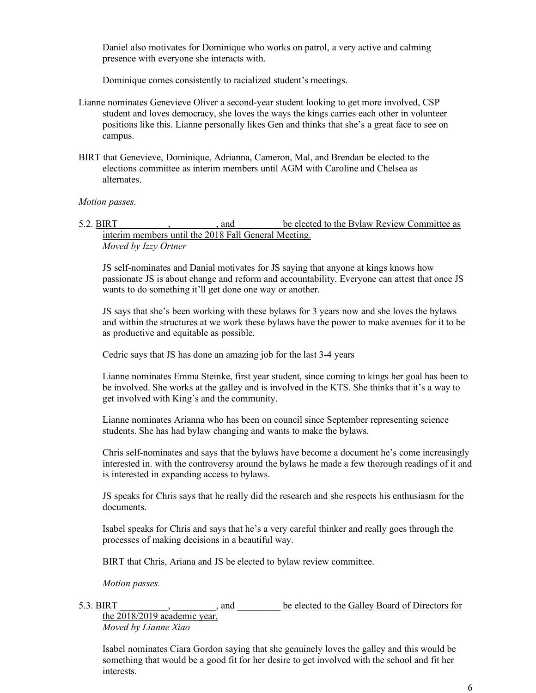Daniel also motivates for Dominique who works on patrol, a very active and calming presence with everyone she interacts with.

Dominique comes consistently to racialized student's meetings.

- Lianne nominates Genevieve Oliver a second-year student looking to get more involved, CSP student and loves democracy, she loves the ways the kings carries each other in volunteer positions like this. Lianne personally likes Gen and thinks that she's a great face to see on campus.
- BIRT that Genevieve, Dominique, Adrianna, Cameron, Mal, and Brendan be elected to the elections committee as interim members until AGM with Caroline and Chelsea as alternates.

#### *Motion passes.*

5.2. BIRT  $\qquad \qquad$ , and  $\qquad \qquad$  be elected to the Bylaw Review Committee as interim members until the 2018 Fall General Meeting. *Moved by Izzy Ortner*

JS self-nominates and Danial motivates for JS saying that anyone at kings knows how passionate JS is about change and reform and accountability. Everyone can attest that once JS wants to do something it'll get done one way or another.

JS says that she's been working with these bylaws for 3 years now and she loves the bylaws and within the structures at we work these bylaws have the power to make avenues for it to be as productive and equitable as possible.

Cedric says that JS has done an amazing job for the last 3-4 years

Lianne nominates Emma Steinke, first year student, since coming to kings her goal has been to be involved. She works at the galley and is involved in the KTS. She thinks that it's a way to get involved with King's and the community.

Lianne nominates Arianna who has been on council since September representing science students. She has had bylaw changing and wants to make the bylaws.

Chris self-nominates and says that the bylaws have become a document he's come increasingly interested in. with the controversy around the bylaws he made a few thorough readings of it and is interested in expanding access to bylaws.

JS speaks for Chris says that he really did the research and she respects his enthusiasm for the documents.

Isabel speaks for Chris and says that he's a very careful thinker and really goes through the processes of making decisions in a beautiful way.

BIRT that Chris, Ariana and JS be elected to bylaw review committee.

*Motion passes.*

5.3. BIRT \_\_\_\_\_\_\_\_\_\_, \_\_\_\_\_\_\_\_\_, and \_\_\_\_\_\_\_\_\_ be elected to the Galley Board of Directors for

the 2018/2019 academic year. *Moved by Lianne Xiao*

Isabel nominates Ciara Gordon saying that she genuinely loves the galley and this would be something that would be a good fit for her desire to get involved with the school and fit her interests.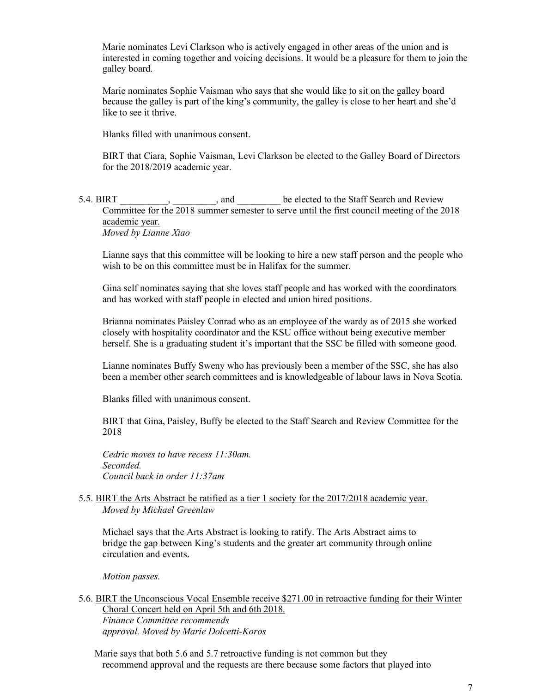Marie nominates Levi Clarkson who is actively engaged in other areas of the union and is interested in coming together and voicing decisions. It would be a pleasure for them to join the galley board.

Marie nominates Sophie Vaisman who says that she would like to sit on the galley board because the galley is part of the king's community, the galley is close to her heart and she'd like to see it thrive.

Blanks filled with unanimous consent.

BIRT that Ciara, Sophie Vaisman, Levi Clarkson be elected to the Galley Board of Directors for the 2018/2019 academic year.

#### 5.4. BIRT  $\qquad \qquad$ , and  $\qquad \qquad$  be elected to the Staff Search and Review Committee for the 2018 summer semester to serve until the first council meeting of the 2018 academic year. *Moved by Lianne Xiao*

Lianne says that this committee will be looking to hire a new staff person and the people who wish to be on this committee must be in Halifax for the summer.

Gina self nominates saying that she loves staff people and has worked with the coordinators and has worked with staff people in elected and union hired positions.

Brianna nominates Paisley Conrad who as an employee of the wardy as of 2015 she worked closely with hospitality coordinator and the KSU office without being executive member herself. She is a graduating student it's important that the SSC be filled with someone good.

Lianne nominates Buffy Sweny who has previously been a member of the SSC, she has also been a member other search committees and is knowledgeable of labour laws in Nova Scotia.

Blanks filled with unanimous consent.

BIRT that Gina, Paisley, Buffy be elected to the Staff Search and Review Committee for the 2018

*Cedric moves to have recess 11:30am. Seconded. Council back in order 11:37am*

#### 5.5. BIRT the Arts Abstract be ratified as a tier 1 society for the 2017/2018 academic year. *Moved by Michael Greenlaw*

Michael says that the Arts Abstract is looking to ratify. The Arts Abstract aims to bridge the gap between King's students and the greater art community through online circulation and events.

*Motion passes.*

5.6. BIRT the Unconscious Vocal Ensemble receive \$271.00 in retroactive funding for their Winter Choral Concert held on April 5th and 6th 2018.

*Finance Committee recommends approval. Moved by Marie Dolcetti-Koros*

Marie says that both 5.6 and 5.7 retroactive funding is not common but they recommend approval and the requests are there because some factors that played into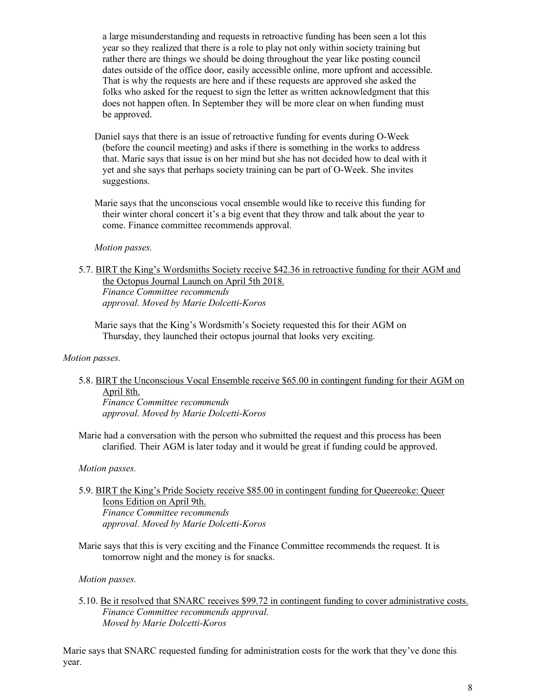a large misunderstanding and requests in retroactive funding has been seen a lot this year so they realized that there is a role to play not only within society training but rather there are things we should be doing throughout the year like posting council dates outside of the office door, easily accessible online, more upfront and accessible. That is why the requests are here and if these requests are approved she asked the folks who asked for the request to sign the letter as written acknowledgment that this does not happen often. In September they will be more clear on when funding must be approved.

Daniel says that there is an issue of retroactive funding for events during O-Week (before the council meeting) and asks if there is something in the works to address that. Marie says that issue is on her mind but she has not decided how to deal with it yet and she says that perhaps society training can be part of O-Week. She invites suggestions.

Marie says that the unconscious vocal ensemble would like to receive this funding for their winter choral concert it's a big event that they throw and talk about the year to come. Finance committee recommends approval.

#### *Motion passes.*

5.7. BIRT the King's Wordsmiths Society receive \$42.36 in retroactive funding for their AGM and the Octopus Journal Launch on April 5th 2018. *Finance Committee recommends approval. Moved by Marie Dolcetti-Koros*

Marie says that the King's Wordsmith's Society requested this for their AGM on Thursday, they launched their octopus journal that looks very exciting.

#### *Motion passes.*

5.8. BIRT the Unconscious Vocal Ensemble receive \$65.00 in contingent funding for their AGM on April 8th. *Finance Committee recommends* 

*approval. Moved by Marie Dolcetti-Koros*

Marie had a conversation with the person who submitted the request and this process has been clarified. Their AGM is later today and it would be great if funding could be approved.

#### *Motion passes.*

#### 5.9. BIRT the King's Pride Society receive \$85.00 in contingent funding for Queereoke: Queer Icons Edition on April 9th. *Finance Committee recommends approval. Moved by Marie Dolcetti-Koros*

Marie says that this is very exciting and the Finance Committee recommends the request. It is tomorrow night and the money is for snacks.

*Motion passes.*

5.10. Be it resolved that SNARC receives \$99.72 in contingent funding to cover administrative costs. *Finance Committee recommends approval. Moved by Marie Dolcetti-Koros*

Marie says that SNARC requested funding for administration costs for the work that they've done this year.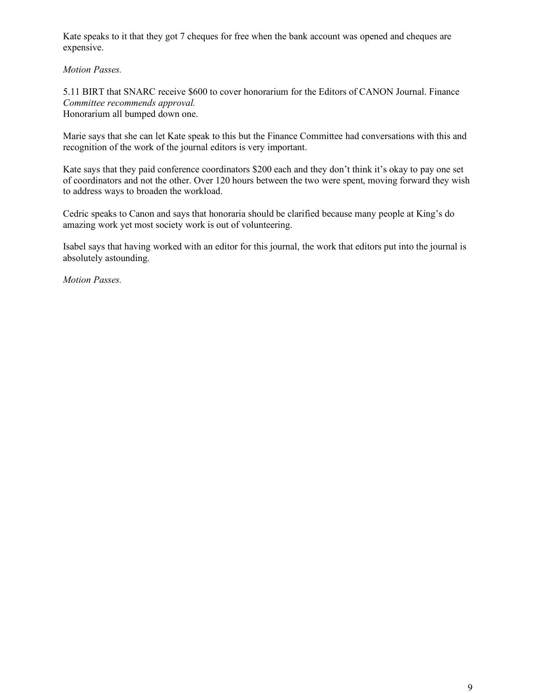Kate speaks to it that they got 7 cheques for free when the bank account was opened and cheques are expensive.

*Motion Passes.*

5.11 BIRT that SNARC receive \$600 to cover honorarium for the Editors of CANON Journal. Finance *Committee recommends approval.* Honorarium all bumped down one.

Marie says that she can let Kate speak to this but the Finance Committee had conversations with this and recognition of the work of the journal editors is very important.

Kate says that they paid conference coordinators \$200 each and they don't think it's okay to pay one set of coordinators and not the other. Over 120 hours between the two were spent, moving forward they wish to address ways to broaden the workload.

Cedric speaks to Canon and says that honoraria should be clarified because many people at King's do amazing work yet most society work is out of volunteering.

Isabel says that having worked with an editor for this journal, the work that editors put into the journal is absolutely astounding.

*Motion Passes.*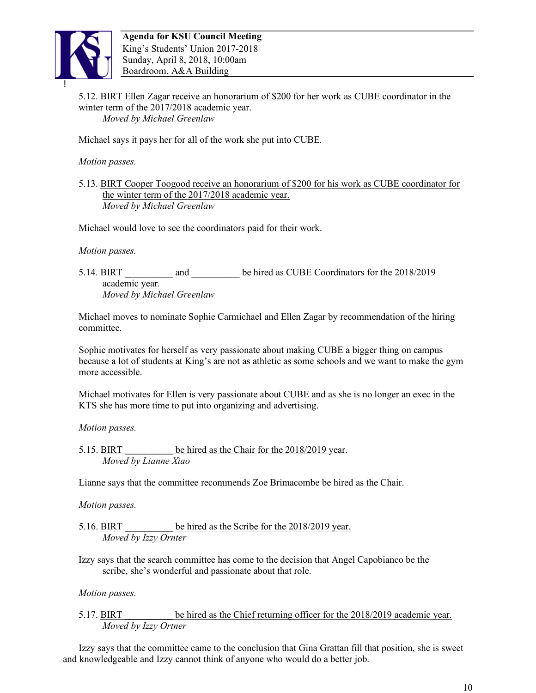

5.12. BIRT Ellen Zagar receive an honorarium of \$200 for her work as CUBE coordinator in the winter term of the 2017/2018 academic year. *Moved by Michael Greenlaw*

Michael says it pays her for all of the work she put into CUBE.

*Motion passes.*

5.13. BIRT Cooper Toogood receive an honorarium of \$200 for his work as CUBE coordinator for the winter term of the 2017/2018 academic year. *Moved by Michael Greenlaw*

Michael would love to see the coordinators paid for their work.

*Motion passes.*

5.14. BIRT \_\_\_\_\_\_\_\_\_\_ and \_\_\_\_\_\_\_\_\_\_ be hired as CUBE Coordinators for the 2018/2019 academic year. *Moved by Michael Greenlaw*

Michael moves to nominate Sophie Carmichael and Ellen Zagar by recommendation of the hiring committee.

Sophie motivates for herself as very passionate about making CUBE a bigger thing on campus because a lot of students at King's are not as athletic as some schools and we want to make the gym more accessible.

Michael motivates for Ellen is very passionate about CUBE and as she is no longer an exec in the KTS she has more time to put into organizing and advertising.

*Motion passes.*

5.15. BIRT be hired as the Chair for the 2018/2019 year. *Moved by Lianne Xiao*

Lianne says that the committee recommends Zoe Brimacombe be hired as the Chair.

*Motion passes.*

5.16. BIRT be hired as the Scribe for the 2018/2019 year. *Moved by Izzy Ornter*

Izzy says that the search committee has come to the decision that Angel Capobianco be the scribe, she's wonderful and passionate about that role.

*Motion passes.*

5.17. BIRT be hired as the Chief returning officer for the 2018/2019 academic year. *Moved by Izzy Ortner*

Izzy says that the committee came to the conclusion that Gina Grattan fill that position, she is sweet and knowledgeable and Izzy cannot think of anyone who would do a better job.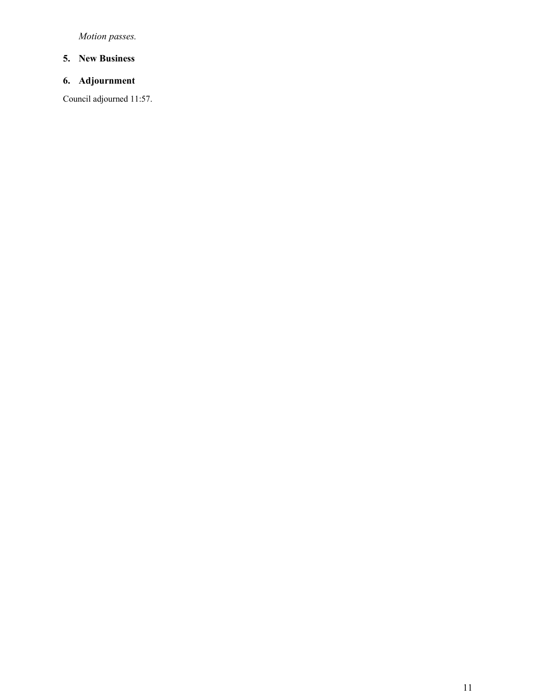*Motion passes.*

## **5. New Business**

# **6. Adjournment**

Council adjourned 11:57.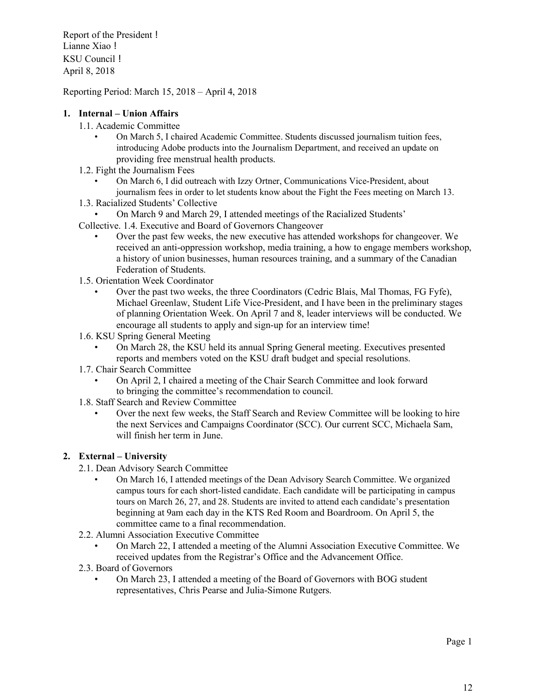Report of the President ! Lianne Xiao ! KSU Council ! April 8, 2018

Reporting Period: March 15, 2018 – April 4, 2018

## **1. Internal – Union Affairs**

- 1.1. Academic Committee
	- On March 5, I chaired Academic Committee. Students discussed journalism tuition fees, introducing Adobe products into the Journalism Department, and received an update on providing free menstrual health products.
- 1.2. Fight the Journalism Fees
	- On March 6, I did outreach with Izzy Ortner, Communications Vice-President, about journalism fees in order to let students know about the Fight the Fees meeting on March 13.
- 1.3. Racialized Students' Collective
- On March 9 and March 29, I attended meetings of the Racialized Students'
- Collective. 1.4. Executive and Board of Governors Changeover
	- Over the past few weeks, the new executive has attended workshops for changeover. We received an anti-oppression workshop, media training, a how to engage members workshop, a history of union businesses, human resources training, and a summary of the Canadian Federation of Students.
- 1.5. Orientation Week Coordinator
	- Over the past two weeks, the three Coordinators (Cedric Blais, Mal Thomas, FG Fyfe), Michael Greenlaw, Student Life Vice-President, and I have been in the preliminary stages of planning Orientation Week. On April 7 and 8, leader interviews will be conducted. We encourage all students to apply and sign-up for an interview time!
- 1.6. KSU Spring General Meeting
	- On March 28, the KSU held its annual Spring General meeting. Executives presented reports and members voted on the KSU draft budget and special resolutions.
- 1.7. Chair Search Committee
	- On April 2, I chaired a meeting of the Chair Search Committee and look forward to bringing the committee's recommendation to council.
- 1.8. Staff Search and Review Committee
	- Over the next few weeks, the Staff Search and Review Committee will be looking to hire the next Services and Campaigns Coordinator (SCC). Our current SCC, Michaela Sam, will finish her term in June.

#### **2. External – University**

- 2.1. Dean Advisory Search Committee
	- On March 16, I attended meetings of the Dean Advisory Search Committee. We organized campus tours for each short-listed candidate. Each candidate will be participating in campus tours on March 26, 27, and 28. Students are invited to attend each candidate's presentation beginning at 9am each day in the KTS Red Room and Boardroom. On April 5, the committee came to a final recommendation.
- 2.2. Alumni Association Executive Committee
	- On March 22, I attended a meeting of the Alumni Association Executive Committee. We received updates from the Registrar's Office and the Advancement Office.
- 2.3. Board of Governors
	- On March 23, I attended a meeting of the Board of Governors with BOG student representatives, Chris Pearse and Julia-Simone Rutgers.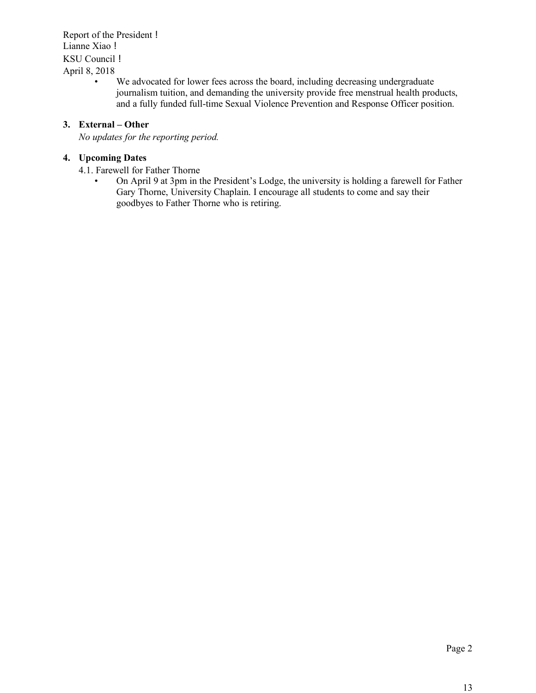Report of the President ! Lianne Xiao ! KSU Council ! April 8, 2018

> We advocated for lower fees across the board, including decreasing undergraduate journalism tuition, and demanding the university provide free menstrual health products, and a fully funded full-time Sexual Violence Prevention and Response Officer position.

## **3. External – Other**

*No updates for the reporting period.*

## **4. Upcoming Dates**

- 4.1. Farewell for Father Thorne
	- On April 9 at 3pm in the President's Lodge, the university is holding a farewell for Father Gary Thorne, University Chaplain. I encourage all students to come and say their goodbyes to Father Thorne who is retiring.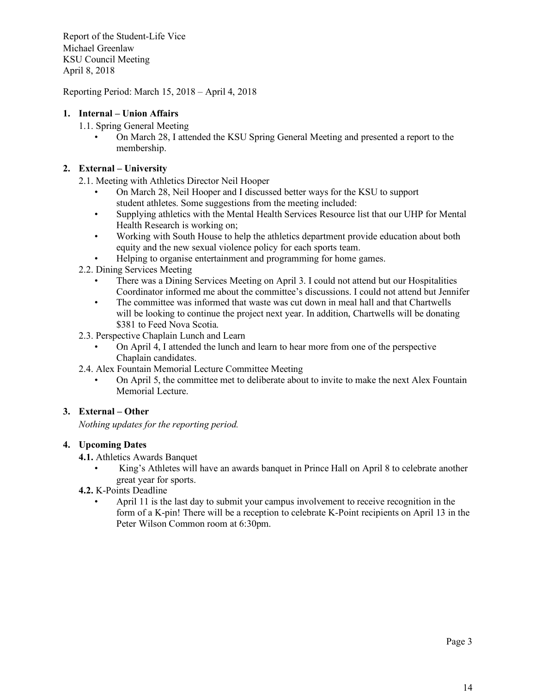Report of the Student-Life Vice Michael Greenlaw KSU Council Meeting April 8, 2018

Reporting Period: March 15, 2018 – April 4, 2018

# **1. Internal – Union Affairs**

- 1.1. Spring General Meeting
	- On March 28, I attended the KSU Spring General Meeting and presented a report to the membership.

# **2. External – University**

- 2.1. Meeting with Athletics Director Neil Hooper
	- On March 28, Neil Hooper and I discussed better ways for the KSU to support student athletes. Some suggestions from the meeting included:
	- Supplying athletics with the Mental Health Services Resource list that our UHP for Mental Health Research is working on;
	- Working with South House to help the athletics department provide education about both equity and the new sexual violence policy for each sports team.
	- Helping to organise entertainment and programming for home games.
- 2.2. Dining Services Meeting
	- There was a Dining Services Meeting on April 3. I could not attend but our Hospitalities Coordinator informed me about the committee's discussions. I could not attend but Jennifer
	- The committee was informed that waste was cut down in meal hall and that Chartwells will be looking to continue the project next year. In addition, Chartwells will be donating \$381 to Feed Nova Scotia.
- 2.3. Perspective Chaplain Lunch and Learn
	- On April 4, I attended the lunch and learn to hear more from one of the perspective Chaplain candidates.
- 2.4. Alex Fountain Memorial Lecture Committee Meeting
	- On April 5, the committee met to deliberate about to invite to make the next Alex Fountain Memorial Lecture.

# **3. External – Other**

*Nothing updates for the reporting period.*

# **4. Upcoming Dates**

- **4.1.** Athletics Awards Banquet
	- King's Athletes will have an awards banquet in Prince Hall on April 8 to celebrate another great year for sports.
- **4.2.** K-Points Deadline
	- April 11 is the last day to submit your campus involvement to receive recognition in the form of a K-pin! There will be a reception to celebrate K-Point recipients on April 13 in the Peter Wilson Common room at 6:30pm.

Page 3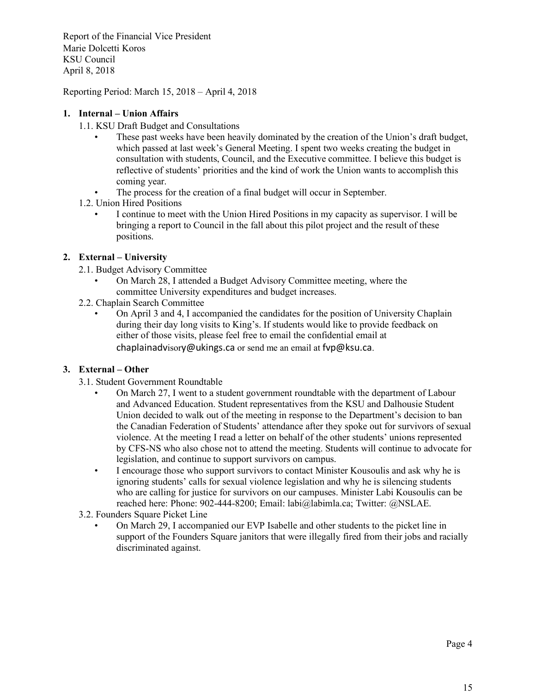Report of the Financial Vice President Marie Dolcetti Koros KSU Council April 8, 2018

Reporting Period: March 15, 2018 – April 4, 2018

## **1. Internal – Union Affairs**

- 1.1. KSU Draft Budget and Consultations
	- These past weeks have been heavily dominated by the creation of the Union's draft budget, which passed at last week's General Meeting. I spent two weeks creating the budget in consultation with students, Council, and the Executive committee. I believe this budget is reflective of students' priorities and the kind of work the Union wants to accomplish this coming year.
	- The process for the creation of a final budget will occur in September.
- 1.2. Union Hired Positions
	- I continue to meet with the Union Hired Positions in my capacity as supervisor. I will be bringing a report to Council in the fall about this pilot project and the result of these positions.

## **2. External – University**

- 2.1. Budget Advisory Committee
	- On March 28, I attended a Budget Advisory Committee meeting, where the committee University expenditures and budget increases.
- 2.2. Chaplain Search Committee
	- On April 3 and 4, I accompanied the candidates for the position of University Chaplain during their day long visits to King's. If students would like to provide feedback on either of those visits, please feel free to email the confidential email at chaplainadvisory@ukings.ca or send me an email at fvp@ksu.ca.

## **3. External – Other**

- 3.1. Student Government Roundtable
	- On March 27, I went to a student government roundtable with the department of Labour and Advanced Education. Student representatives from the KSU and Dalhousie Student Union decided to walk out of the meeting in response to the Department's decision to ban the Canadian Federation of Students' attendance after they spoke out for survivors of sexual violence. At the meeting I read a letter on behalf of the other students' unions represented by CFS-NS who also chose not to attend the meeting. Students will continue to advocate for legislation, and continue to support survivors on campus.
	- I encourage those who support survivors to contact Minister Kousoulis and ask why he is ignoring students' calls for sexual violence legislation and why he is silencing students who are calling for justice for survivors on our campuses. Minister Labi Kousoulis can be reached here: Phone: 902-444-8200; Email: labi@labimla.ca; Twitter: @NSLAE.
- 3.2. Founders Square Picket Line
	- On March 29, I accompanied our EVP Isabelle and other students to the picket line in support of the Founders Square janitors that were illegally fired from their jobs and racially discriminated against.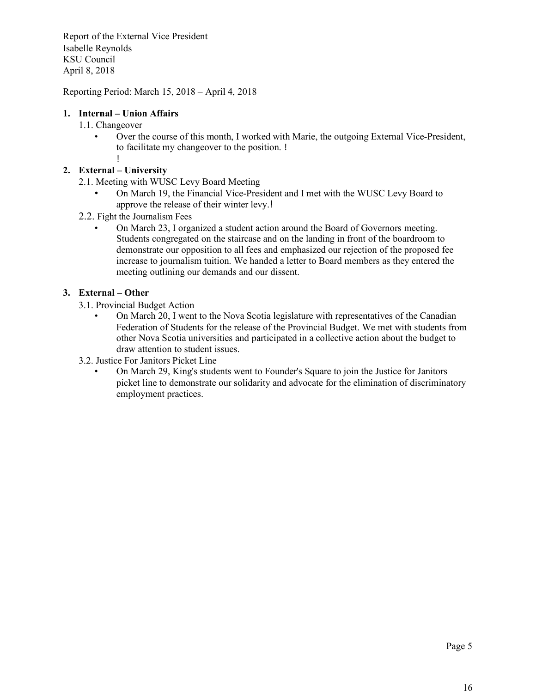Report of the External Vice President Isabelle Reynolds KSU Council April 8, 2018

Reporting Period: March 15, 2018 – April 4, 2018

## **1. Internal – Union Affairs**

- 1.1. Changeover
	- Over the course of this month, I worked with Marie, the outgoing External Vice-President, to facilitate my changeover to the position. !

!

# **2. External – University**

- 2.1. Meeting with WUSC Levy Board Meeting
	- On March 19, the Financial Vice-President and I met with the WUSC Levy Board to approve the release of their winter levy.!
- 2.2. Fight the Journalism Fees
	- On March 23, I organized a student action around the Board of Governors meeting. Students congregated on the staircase and on the landing in front of the boardroom to demonstrate our opposition to all fees and emphasized our rejection of the proposed fee increase to journalism tuition. We handed a letter to Board members as they entered the meeting outlining our demands and our dissent.

## **3. External – Other**

- 3.1. Provincial Budget Action
	- On March 20, I went to the Nova Scotia legislature with representatives of the Canadian Federation of Students for the release of the Provincial Budget. We met with students from other Nova Scotia universities and participated in a collective action about the budget to draw attention to student issues.
- 3.2. Justice For Janitors Picket Line
	- On March 29, King's students went to Founder's Square to join the Justice for Janitors picket line to demonstrate our solidarity and advocate for the elimination of discriminatory employment practices.